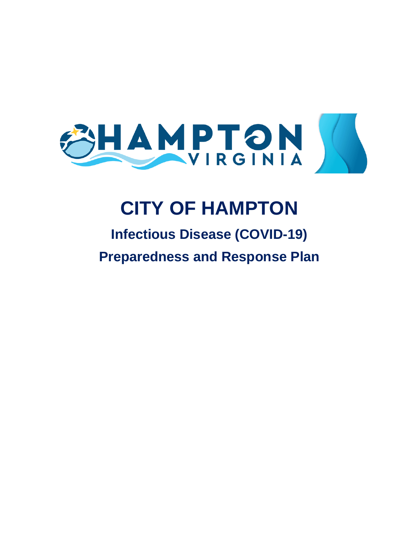

# **CITY OF HAMPTON**

## **Infectious Disease (COVID-19) Preparedness and Response Plan**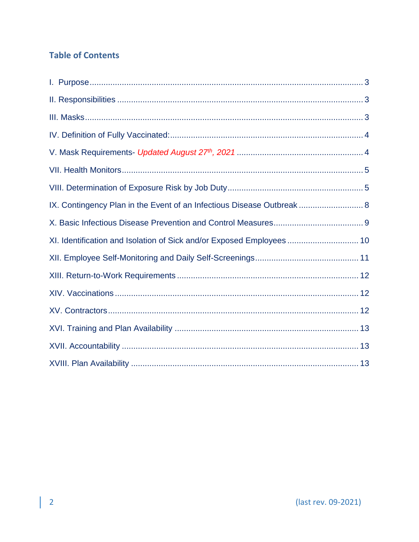## **Table of Contents**

| IX. Contingency Plan in the Event of an Infectious Disease Outbreak  8 |  |
|------------------------------------------------------------------------|--|
|                                                                        |  |
| XI. Identification and Isolation of Sick and/or Exposed Employees  10  |  |
|                                                                        |  |
|                                                                        |  |
|                                                                        |  |
|                                                                        |  |
|                                                                        |  |
|                                                                        |  |
|                                                                        |  |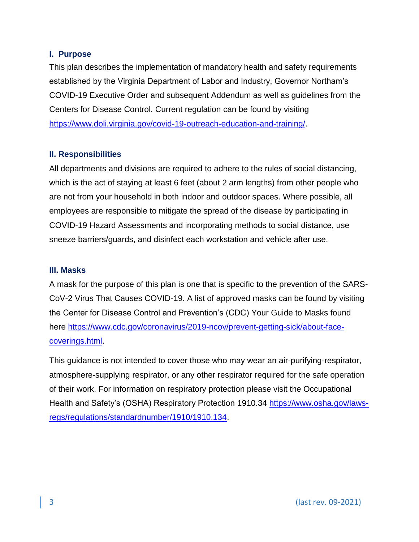### <span id="page-2-0"></span>**I. Purpose**

This plan describes the implementation of mandatory health and safety requirements established by the Virginia Department of Labor and Industry, Governor Northam's COVID-19 Executive Order and subsequent Addendum as well as guidelines from the Centers for Disease Control. Current regulation can be found by visiting [https://www.doli.virginia.gov/covid-19-outreach-education-and-training/.](https://www.doli.virginia.gov/covid-19-outreach-education-and-training/)

## <span id="page-2-1"></span>**II. Responsibilities**

All departments and divisions are required to adhere to the rules of social distancing, which is the act of staying at least 6 feet (about 2 arm lengths) from other people who are not from your household in both indoor and outdoor spaces. Where possible, all employees are responsible to mitigate the spread of the disease by participating in COVID-19 Hazard Assessments and incorporating methods to social distance, use sneeze barriers/guards, and disinfect each workstation and vehicle after use.

### <span id="page-2-2"></span>**III. Masks**

A mask for the purpose of this plan is one that is specific to the prevention of the SARS-CoV-2 Virus That Causes COVID-19. A list of approved masks can be found by visiting the Center for Disease Control and Prevention's (CDC) Your Guide to Masks found here [https://www.cdc.gov/coronavirus/2019-ncov/prevent-getting-sick/about-face](https://www.cdc.gov/coronavirus/2019-ncov/prevent-getting-sick/about-face-coverings.html)[coverings.html.](https://www.cdc.gov/coronavirus/2019-ncov/prevent-getting-sick/about-face-coverings.html)

This guidance is not intended to cover those who may wear an air-purifying-respirator, atmosphere-supplying respirator, or any other respirator required for the safe operation of their work. For information on respiratory protection please visit the Occupational Health and Safety's (OSHA) Respiratory Protection 1910.34 [https://www.osha.gov/laws](https://www.osha.gov/laws-regs/regulations/standardnumber/1910/1910.134)[regs/regulations/standardnumber/1910/1910.134.](https://www.osha.gov/laws-regs/regulations/standardnumber/1910/1910.134)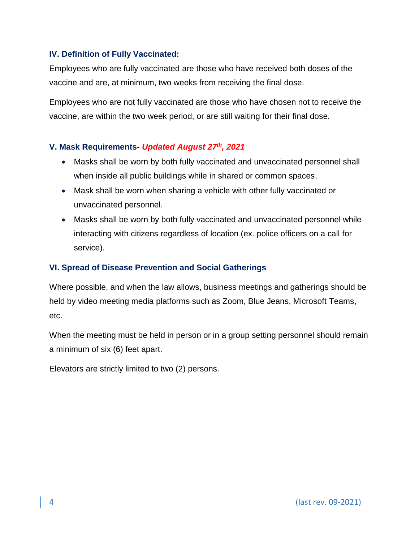## <span id="page-3-0"></span>**IV. Definition of Fully Vaccinated:**

Employees who are fully vaccinated are those who have received both doses of the vaccine and are, at minimum, two weeks from receiving the final dose.

Employees who are not fully vaccinated are those who have chosen not to receive the vaccine, are within the two week period, or are still waiting for their final dose.

## <span id="page-3-1"></span>**V. Mask Requirements-** *Updated August 27th, 2021*

- Masks shall be worn by both fully vaccinated and unvaccinated personnel shall when inside all public buildings while in shared or common spaces.
- Mask shall be worn when sharing a vehicle with other fully vaccinated or unvaccinated personnel.
- Masks shall be worn by both fully vaccinated and unvaccinated personnel while interacting with citizens regardless of location (ex. police officers on a call for service).

## **VI. Spread of Disease Prevention and Social Gatherings**

Where possible, and when the law allows, business meetings and gatherings should be held by video meeting media platforms such as Zoom, Blue Jeans, Microsoft Teams, etc.

When the meeting must be held in person or in a group setting personnel should remain a minimum of six (6) feet apart.

Elevators are strictly limited to two (2) persons.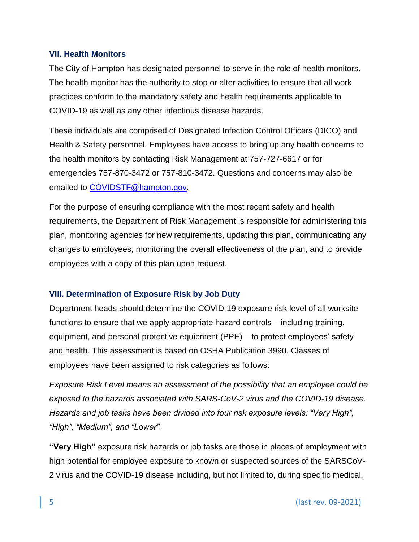### <span id="page-4-0"></span>**VII. Health Monitors**

The City of Hampton has designated personnel to serve in the role of health monitors. The health monitor has the authority to stop or alter activities to ensure that all work practices conform to the mandatory safety and health requirements applicable to COVID-19 as well as any other infectious disease hazards.

These individuals are comprised of Designated Infection Control Officers (DICO) and Health & Safety personnel. Employees have access to bring up any health concerns to the health monitors by contacting Risk Management at 757-727-6617 or for emergencies 757-870-3472 or 757-810-3472. Questions and concerns may also be emailed to [COVIDSTF@hampton.gov.](file://///cityfiles03.city.hampton.local/Risk-mngt/COVID%20DOCUMENTS%20ALL%20EXTERNAL%20AND%20INTERNAL/INFECTIOUS%20DISEASE%20PLAN%20-%20NOT%20FIRST%20RESPONDER/COVIDSTF@hampton.gov)

For the purpose of ensuring compliance with the most recent safety and health requirements, the Department of Risk Management is responsible for administering this plan, monitoring agencies for new requirements, updating this plan, communicating any changes to employees, monitoring the overall effectiveness of the plan, and to provide employees with a copy of this plan upon request.

## <span id="page-4-1"></span>**VIII. Determination of Exposure Risk by Job Duty**

Department heads should determine the COVID-19 exposure risk level of all worksite functions to ensure that we apply appropriate hazard controls – including training, equipment, and personal protective equipment (PPE) – to protect employees' safety and health. This assessment is based on OSHA Publication 3990. Classes of employees have been assigned to risk categories as follows:

*Exposure Risk Level means an assessment of the possibility that an employee could be exposed to the hazards associated with SARS-CoV-2 virus and the COVID-19 disease. Hazards and job tasks have been divided into four risk exposure levels: "Very High", "High", "Medium", and "Lower".*

**"Very High"** exposure risk hazards or job tasks are those in places of employment with high potential for employee exposure to known or suspected sources of the SARSCoV-2 virus and the COVID-19 disease including, but not limited to, during specific medical,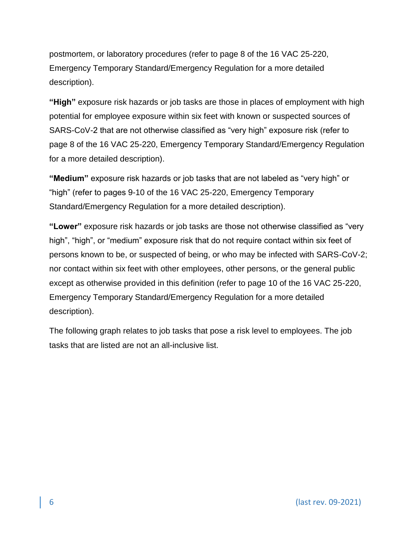postmortem, or laboratory procedures (refer to page 8 of the 16 VAC 25-220, Emergency Temporary Standard/Emergency Regulation for a more detailed description).

**"High"** exposure risk hazards or job tasks are those in places of employment with high potential for employee exposure within six feet with known or suspected sources of SARS-CoV-2 that are not otherwise classified as "very high" exposure risk (refer to page 8 of the 16 VAC 25-220, Emergency Temporary Standard/Emergency Regulation for a more detailed description).

**"Medium"** exposure risk hazards or job tasks that are not labeled as "very high" or "high" (refer to pages 9-10 of the 16 VAC 25-220, Emergency Temporary Standard/Emergency Regulation for a more detailed description).

**"Lower"** exposure risk hazards or job tasks are those not otherwise classified as "very high", "high", or "medium" exposure risk that do not require contact within six feet of persons known to be, or suspected of being, or who may be infected with SARS-CoV-2; nor contact within six feet with other employees, other persons, or the general public except as otherwise provided in this definition (refer to page 10 of the 16 VAC 25-220, Emergency Temporary Standard/Emergency Regulation for a more detailed description).

The following graph relates to job tasks that pose a risk level to employees. The job tasks that are listed are not an all-inclusive list.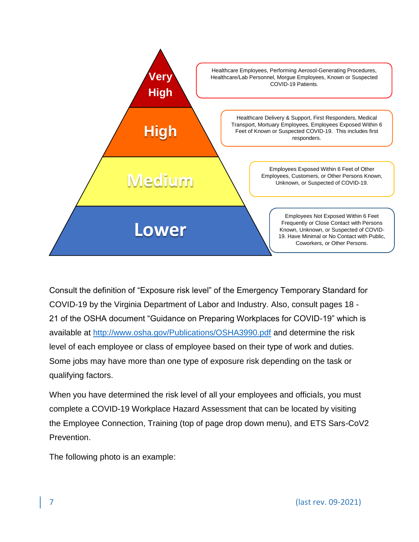

Consult the definition of "Exposure risk level" of the Emergency Temporary Standard for COVID-19 by the Virginia Department of Labor and Industry. Also, consult pages 18 - 21 of the OSHA document "Guidance on Preparing Workplaces for COVID-19" which is available at<http://www.osha.gov/Publications/OSHA3990.pdf> and determine the risk level of each employee or class of employee based on their type of work and duties. Some jobs may have more than one type of exposure risk depending on the task or qualifying factors.

When you have determined the risk level of all your employees and officials, you must complete a COVID-19 Workplace Hazard Assessment that can be located by visiting the Employee Connection, Training (top of page drop down menu), and ETS Sars-CoV2 Prevention.

The following photo is an example: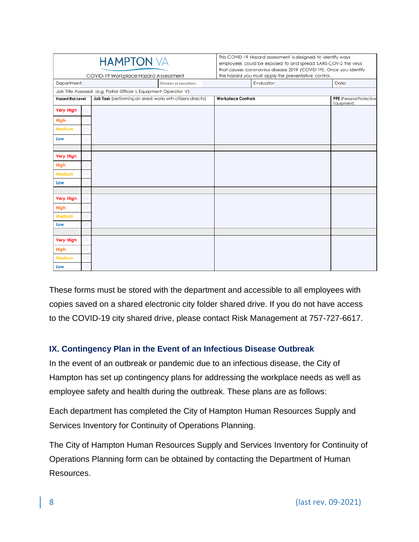|                                                                                           |  | <b>HAMPTON VA</b>                                                 |                              |            | This COVID-19 Hazard assessment is designed to identify ways<br>employees could be exposed to and spread SARS-COV-2 the virus<br>that causes coronavirus disease 2019 (COVID-19). Once you identify<br>the hazard you must apply the preventative control. |            |  |
|-------------------------------------------------------------------------------------------|--|-------------------------------------------------------------------|------------------------------|------------|------------------------------------------------------------------------------------------------------------------------------------------------------------------------------------------------------------------------------------------------------------|------------|--|
| COVID-19 Workplace Hazard Assessment<br>Department:                                       |  |                                                                   | <b>Division or Location:</b> | Evaluator: |                                                                                                                                                                                                                                                            | Date:      |  |
|                                                                                           |  | Job Title Assessed (e.g. Patrol Officer I, Equipment Operator V): |                              |            |                                                                                                                                                                                                                                                            |            |  |
| Job Task (performing an arrest, works with citizens directly)<br><b>Hazard Risk Level</b> |  | <b>Workplace Controls</b>                                         |                              |            | <b>PPE</b> (Personal Protective                                                                                                                                                                                                                            |            |  |
| <b>Very High</b>                                                                          |  |                                                                   |                              |            |                                                                                                                                                                                                                                                            | Equipment) |  |
| High                                                                                      |  |                                                                   |                              |            |                                                                                                                                                                                                                                                            |            |  |
| <b>Medium</b>                                                                             |  |                                                                   |                              |            |                                                                                                                                                                                                                                                            |            |  |
| Low                                                                                       |  |                                                                   |                              |            |                                                                                                                                                                                                                                                            |            |  |
|                                                                                           |  |                                                                   |                              |            |                                                                                                                                                                                                                                                            |            |  |
| <b>Very High</b>                                                                          |  |                                                                   |                              |            |                                                                                                                                                                                                                                                            |            |  |
| High                                                                                      |  |                                                                   |                              |            |                                                                                                                                                                                                                                                            |            |  |
| Medium                                                                                    |  |                                                                   |                              |            |                                                                                                                                                                                                                                                            |            |  |
| Low                                                                                       |  |                                                                   |                              |            |                                                                                                                                                                                                                                                            |            |  |
|                                                                                           |  |                                                                   |                              |            |                                                                                                                                                                                                                                                            |            |  |
| <b>Very High</b>                                                                          |  |                                                                   |                              |            |                                                                                                                                                                                                                                                            |            |  |
| <b>High</b>                                                                               |  |                                                                   |                              |            |                                                                                                                                                                                                                                                            |            |  |
| Medium                                                                                    |  |                                                                   |                              |            |                                                                                                                                                                                                                                                            |            |  |
| Low                                                                                       |  |                                                                   |                              |            |                                                                                                                                                                                                                                                            |            |  |
| <b>Very High</b>                                                                          |  |                                                                   |                              |            |                                                                                                                                                                                                                                                            |            |  |
| High                                                                                      |  |                                                                   |                              |            |                                                                                                                                                                                                                                                            |            |  |
| <b>Medium</b>                                                                             |  |                                                                   |                              |            |                                                                                                                                                                                                                                                            |            |  |
| Low                                                                                       |  |                                                                   |                              |            |                                                                                                                                                                                                                                                            |            |  |

These forms must be stored with the department and accessible to all employees with copies saved on a shared electronic city folder shared drive. If you do not have access to the COVID-19 city shared drive, please contact Risk Management at 757-727-6617.

## <span id="page-7-0"></span>**IX. Contingency Plan in the Event of an Infectious Disease Outbreak**

In the event of an outbreak or pandemic due to an infectious disease, the City of Hampton has set up contingency plans for addressing the workplace needs as well as employee safety and health during the outbreak. These plans are as follows:

Each department has completed the City of Hampton Human Resources Supply and Services Inventory for Continuity of Operations Planning.

The City of Hampton Human Resources Supply and Services Inventory for Continuity of Operations Planning form can be obtained by contacting the Department of Human Resources.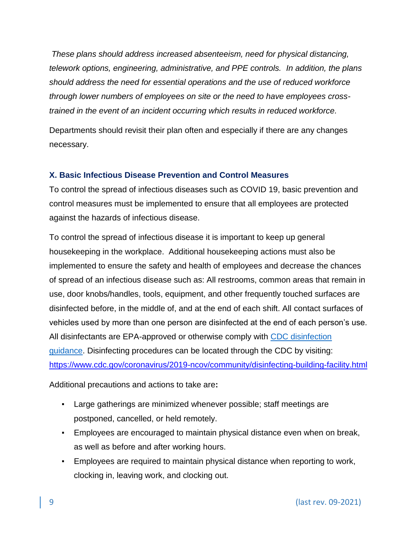*These plans should address increased absenteeism, need for physical distancing, telework options, engineering, administrative, and PPE controls. In addition, the plans should address the need for essential operations and the use of reduced workforce through lower numbers of employees on site or the need to have employees crosstrained in the event of an incident occurring which results in reduced workforce.*

Departments should revisit their plan often and especially if there are any changes necessary.

## <span id="page-8-0"></span>**X. Basic Infectious Disease Prevention and Control Measures**

To control the spread of infectious diseases such as COVID 19, basic prevention and control measures must be implemented to ensure that all employees are protected against the hazards of infectious disease.

To control the spread of infectious disease it is important to keep up general housekeeping in the workplace. Additional housekeeping actions must also be implemented to ensure the safety and health of employees and decrease the chances of spread of an infectious disease such as: All restrooms, common areas that remain in use, door knobs/handles, tools, equipment, and other frequently touched surfaces are disinfected before, in the middle of, and at the end of each shift. All contact surfaces of vehicles used by more than one person are disinfected at the end of each person's use. All disinfectants are EPA-approved or otherwise comply with [CDC disinfection](https://www.cdc.gov/coronavirus/2019-ncov/community/reopen-guidance.html?deliveryName=USCDC_2067-DM26911)  [guidance.](https://www.cdc.gov/coronavirus/2019-ncov/community/reopen-guidance.html?deliveryName=USCDC_2067-DM26911) Disinfecting procedures can be located through the CDC by visiting: <https://www.cdc.gov/coronavirus/2019-ncov/community/disinfecting-building-facility.html>

Additional precautions and actions to take are**:**

- Large gatherings are minimized whenever possible; staff meetings are postponed, cancelled, or held remotely.
- Employees are encouraged to maintain physical distance even when on break, as well as before and after working hours.
- Employees are required to maintain physical distance when reporting to work, clocking in, leaving work, and clocking out.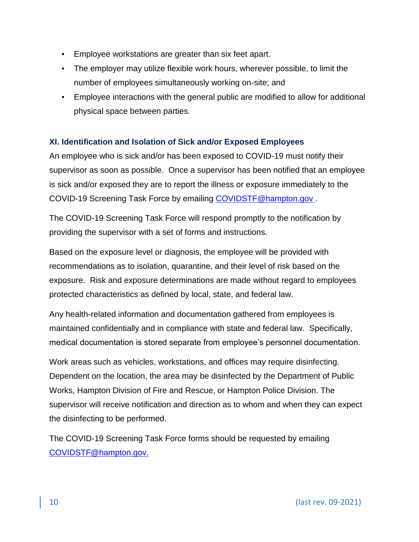- Employee workstations are greater than six feet apart.
- The employer may utilize flexible work hours, wherever possible, to limit the number of employees simultaneously working on-site; and
- Employee interactions with the general public are modified to allow for additional physical space between parties.

## <span id="page-9-0"></span>**XI. Identification and Isolation of Sick and/or Exposed Employees**

An employee who is sick and/or has been exposed to COVID-19 must notify their supervisor as soon as possible. Once a supervisor has been notified that an employee is sick and/or exposed they are to report the illness or exposure immediately to the COVID-19 Screening Task Force by emailing [COVIDSTF@hampton.gov](file:///C:/Users/Patti%20Parker/Pictures/TEAM%20HAMPTON/EMERGENCY%20TEMPORARY%20STANDARD%202020/INFECTION%20DISEASE%20PLAN/COVIDSTF@hampton.gov) .

The COVID-19 Screening Task Force will respond promptly to the notification by providing the supervisor with a set of forms and instructions.

Based on the exposure level or diagnosis, the employee will be provided with recommendations as to isolation, quarantine, and their level of risk based on the exposure. Risk and exposure determinations are made without regard to employees protected characteristics as defined by local, state, and federal law.

Any health-related information and documentation gathered from employees is maintained confidentially and in compliance with state and federal law. Specifically, medical documentation is stored separate from employee's personnel documentation.

Work areas such as vehicles, workstations, and offices may require disinfecting. Dependent on the location, the area may be disinfected by the Department of Public Works, Hampton Division of Fire and Rescue, or Hampton Police Division. The supervisor will receive notification and direction as to whom and when they can expect the disinfecting to be performed.

The COVID-19 Screening Task Force forms should be requested by emailing [COVIDSTF@hampton.gov.](file:///C:/Users/Patti%20Parker/Pictures/TEAM%20HAMPTON/EMERGENCY%20TEMPORARY%20STANDARD%202020/INFECTION%20DISEASE%20PLAN/COVIDSTF@hampton.gov)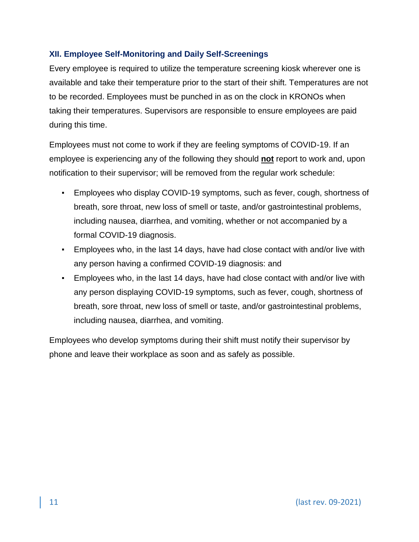## <span id="page-10-0"></span>**XII. Employee Self-Monitoring and Daily Self-Screenings**

Every employee is required to utilize the temperature screening kiosk wherever one is available and take their temperature prior to the start of their shift. Temperatures are not to be recorded. Employees must be punched in as on the clock in KRONOs when taking their temperatures. Supervisors are responsible to ensure employees are paid during this time.

Employees must not come to work if they are feeling symptoms of COVID-19. If an employee is experiencing any of the following they should **not** report to work and, upon notification to their supervisor; will be removed from the regular work schedule:

- Employees who display COVID-19 symptoms, such as fever, cough, shortness of breath, sore throat, new loss of smell or taste, and/or gastrointestinal problems, including nausea, diarrhea, and vomiting, whether or not accompanied by a formal COVID-19 diagnosis.
- Employees who, in the last 14 days, have had close contact with and/or live with any person having a confirmed COVID-19 diagnosis: and
- Employees who, in the last 14 days, have had close contact with and/or live with any person displaying COVID-19 symptoms, such as fever, cough, shortness of breath, sore throat, new loss of smell or taste, and/or gastrointestinal problems, including nausea, diarrhea, and vomiting.

Employees who develop symptoms during their shift must notify their supervisor by phone and leave their workplace as soon and as safely as possible.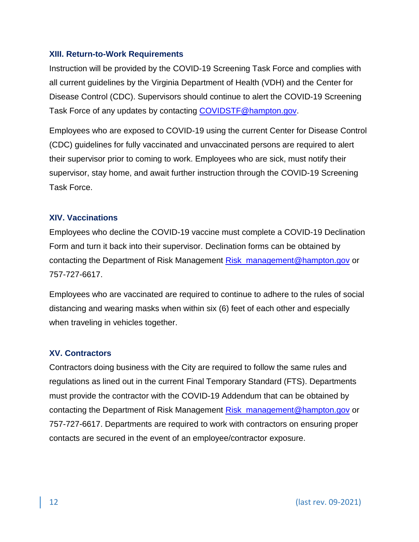#### <span id="page-11-0"></span>**XIII. Return-to-Work Requirements**

Instruction will be provided by the COVID-19 Screening Task Force and complies with all current guidelines by the Virginia Department of Health (VDH) and the Center for Disease Control (CDC). Supervisors should continue to alert the COVID-19 Screening Task Force of any updates by contacting [COVIDSTF@hampton.gov.](file://///cityfiles03.city.hampton.local/Risk-mngt/COVID%20DOCUMENTS%20ALL%20EXTERNAL%20AND%20INTERNAL/INFECTIOUS%20DISEASE%20PLAN%20-%20NOT%20FIRST%20RESPONDER/COVIDSTF@hampton.gov)

Employees who are exposed to COVID-19 using the current Center for Disease Control (CDC) guidelines for fully vaccinated and unvaccinated persons are required to alert their supervisor prior to coming to work. Employees who are sick, must notify their supervisor, stay home, and await further instruction through the COVID-19 Screening Task Force.

#### <span id="page-11-1"></span>**XIV. Vaccinations**

Employees who decline the COVID-19 vaccine must complete a COVID-19 Declination Form and turn it back into their supervisor. Declination forms can be obtained by contacting the Department of Risk Management [Risk\\_management@hampton.gov](mailto:Risk_management@hampton.gov) or 757-727-6617.

Employees who are vaccinated are required to continue to adhere to the rules of social distancing and wearing masks when within six (6) feet of each other and especially when traveling in vehicles together.

#### <span id="page-11-2"></span>**XV. Contractors**

Contractors doing business with the City are required to follow the same rules and regulations as lined out in the current Final Temporary Standard (FTS). Departments must provide the contractor with the COVID-19 Addendum that can be obtained by contacting the Department of Risk Management [Risk\\_management@hampton.gov](mailto:Risk_management@hampton.gov) or 757-727-6617. Departments are required to work with contractors on ensuring proper contacts are secured in the event of an employee/contractor exposure.